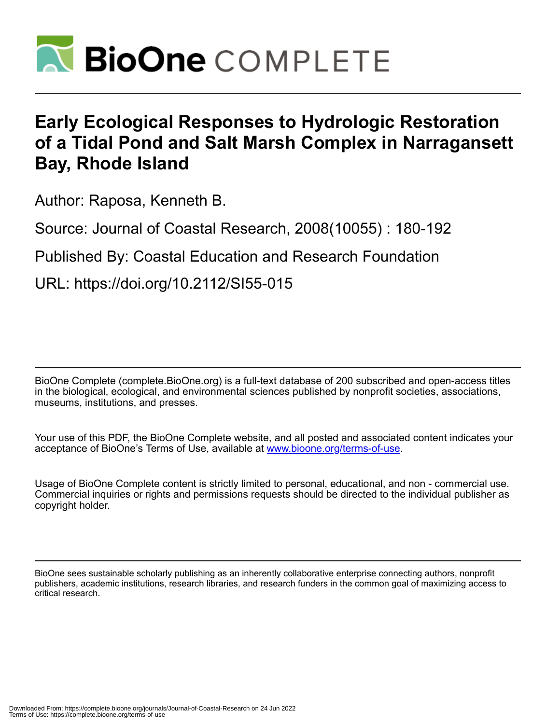

# **Early Ecological Responses to Hydrologic Restoration of a Tidal Pond and Salt Marsh Complex in Narragansett Bay, Rhode Island**

Author: Raposa, Kenneth B.

Source: Journal of Coastal Research, 2008(10055) : 180-192

Published By: Coastal Education and Research Foundation

URL: https://doi.org/10.2112/SI55-015

BioOne Complete (complete.BioOne.org) is a full-text database of 200 subscribed and open-access titles in the biological, ecological, and environmental sciences published by nonprofit societies, associations, museums, institutions, and presses.

Your use of this PDF, the BioOne Complete website, and all posted and associated content indicates your acceptance of BioOne's Terms of Use, available at www.bioone.org/terms-of-use.

Usage of BioOne Complete content is strictly limited to personal, educational, and non - commercial use. Commercial inquiries or rights and permissions requests should be directed to the individual publisher as copyright holder.

BioOne sees sustainable scholarly publishing as an inherently collaborative enterprise connecting authors, nonprofit publishers, academic institutions, research libraries, and research funders in the common goal of maximizing access to critical research.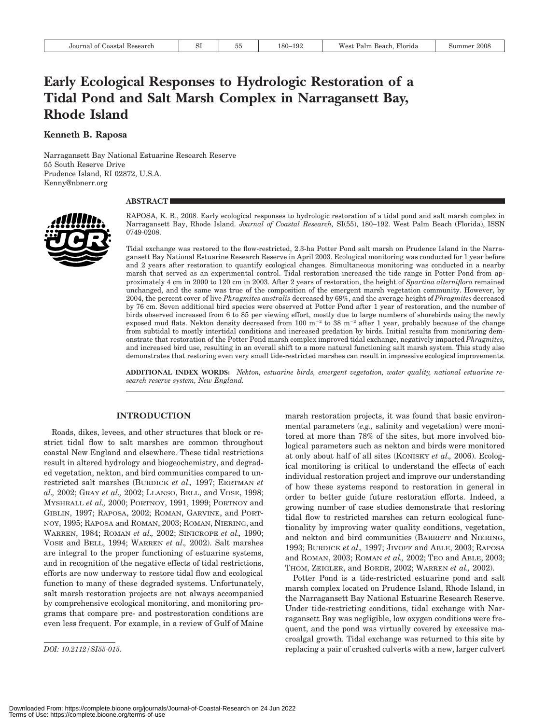# **Early Ecological Responses to Hydrologic Restoration of a Tidal Pond and Salt Marsh Complex in Narragansett Bay, Rhode Island**

**Kenneth B. Raposa**

Narragansett Bay National Estuarine Research Reserve 55 South Reserve Drive Prudence Island, RI 02872, U.S.A. Kenny@nbnerr.org

# **ABSTRACT**



RAPOSA, K. B., 2008. Early ecological responses to hydrologic restoration of a tidal pond and salt marsh complex in Narragansett Bay, Rhode Island. *Journal of Coastal Research,* SI(55), 180–192. West Palm Beach (Florida), ISSN 0749-0208.

Tidal exchange was restored to the flow-restricted, 2.3-ha Potter Pond salt marsh on Prudence Island in the Narragansett Bay National Estuarine Research Reserve in April 2003. Ecological monitoring was conducted for 1 year before and 2 years after restoration to quantify ecological changes. Simultaneous monitoring was conducted in a nearby marsh that served as an experimental control. Tidal restoration increased the tide range in Potter Pond from approximately 4 cm in 2000 to 120 cm in 2003. After 2 years of restoration, the height of *Spartina alterniflora* remained unchanged, and the same was true of the composition of the emergent marsh vegetation community. However, by 2004, the percent cover of live *Phragmites australis* decreased by 69%, and the average height of *Phragmites* decreased by 76 cm. Seven additional bird species were observed at Potter Pond after 1 year of restoration, and the number of birds observed increased from 6 to 85 per viewing effort, mostly due to large numbers of shorebirds using the newly exposed mud flats. Nekton density decreased from  $100 \text{ m}^{-2}$  to  $38 \text{ m}^{-2}$  after 1 year, probably because of the change from subtidal to mostly intertidal conditions and increased predation by birds. Initial results from monitoring demonstrate that restoration of the Potter Pond marsh complex improved tidal exchange, negatively impacted *Phragmites,* and increased bird use, resulting in an overall shift to a more natural functioning salt marsh system. This study also demonstrates that restoring even very small tide-restricted marshes can result in impressive ecological improvements.

**ADDITIONAL INDEX WORDS:** *Nekton, estuarine birds, emergent vegetation, water quality, national estuarine research reserve system, New England.*

### **INTRODUCTION**

Roads, dikes, levees, and other structures that block or restrict tidal flow to salt marshes are common throughout coastal New England and elsewhere. These tidal restrictions result in altered hydrology and biogeochemistry, and degraded vegetation, nekton, and bird communities compared to unrestricted salt marshes (BURDICK *et al.,* 1997; EERTMAN *et al.,* 2002; GRAY *et al.,* 2002; LLANSO, BELL, and VOSE, 1998; MYSHRALL *et al.,* 2000; PORTNOY, 1991, 1999; PORTNOY and GIBLIN, 1997; RAPOSA, 2002; ROMAN, GARVINE, and PORT-NOY, 1995; RAPOSA and ROMAN, 2003; ROMAN, NIERING, and WARREN, 1984; ROMAN *et al.,* 2002; SINICROPE *et al.,* 1990; VOSE and BELL, 1994; WARREN *et al.,* 2002). Salt marshes are integral to the proper functioning of estuarine systems, and in recognition of the negative effects of tidal restrictions, efforts are now underway to restore tidal flow and ecological function to many of these degraded systems. Unfortunately, salt marsh restoration projects are not always accompanied by comprehensive ecological monitoring, and monitoring programs that compare pre- and postrestoration conditions are even less frequent. For example, in a review of Gulf of Maine

marsh restoration projects, it was found that basic environmental parameters (*e.g.,* salinity and vegetation) were monitored at more than 78% of the sites, but more involved biological parameters such as nekton and birds were monitored at only about half of all sites (KONISKY *et al.,* 2006). Ecological monitoring is critical to understand the effects of each individual restoration project and improve our understanding of how these systems respond to restoration in general in order to better guide future restoration efforts. Indeed, a growing number of case studies demonstrate that restoring tidal flow to restricted marshes can return ecological functionality by improving water quality conditions, vegetation, and nekton and bird communities (BARRETT and NIERING, 1993; BURDICK *et al.,* 1997; JIVOFF and ABLE, 2003; RAPOSA and ROMAN, 2003; ROMAN *et al.,* 2002; TEO and ABLE, 2003; THOM, ZEIGLER, and BORDE, 2002; WARREN *et al.,* 2002).

Potter Pond is a tide-restricted estuarine pond and salt marsh complex located on Prudence Island, Rhode Island, in the Narragansett Bay National Estuarine Research Reserve. Under tide-restricting conditions, tidal exchange with Narragansett Bay was negligible, low oxygen conditions were frequent, and the pond was virtually covered by excessive macroalgal growth. Tidal exchange was returned to this site by replacing a pair of crushed culverts with a new, larger culvert

*DOI: 10.2112/SI55-015.*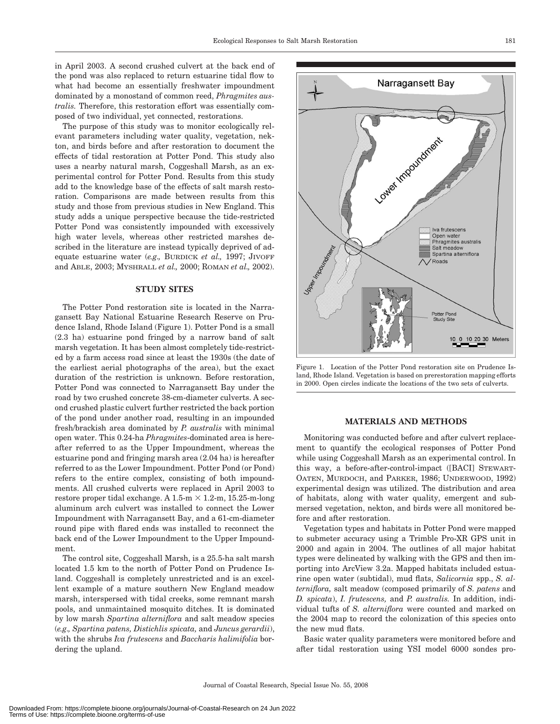in April 2003. A second crushed culvert at the back end of the pond was also replaced to return estuarine tidal flow to what had become an essentially freshwater impoundment dominated by a monostand of common reed, *Phragmites australis.* Therefore, this restoration effort was essentially composed of two individual, yet connected, restorations.

The purpose of this study was to monitor ecologically relevant parameters including water quality, vegetation, nekton, and birds before and after restoration to document the effects of tidal restoration at Potter Pond. This study also uses a nearby natural marsh, Coggeshall Marsh, as an experimental control for Potter Pond. Results from this study add to the knowledge base of the effects of salt marsh restoration. Comparisons are made between results from this study and those from previous studies in New England. This study adds a unique perspective because the tide-restricted Potter Pond was consistently impounded with excessively high water levels, whereas other restricted marshes described in the literature are instead typically deprived of adequate estuarine water (*e.g.,* BURDICK *et al.,* 1997; JIVOFF and ABLE, 2003; MYSHRALL *et al.,* 2000; ROMAN *et al.,* 2002).

#### **STUDY SITES**

The Potter Pond restoration site is located in the Narragansett Bay National Estuarine Research Reserve on Prudence Island, Rhode Island (Figure 1). Potter Pond is a small (2.3 ha) estuarine pond fringed by a narrow band of salt marsh vegetation. It has been almost completely tide-restricted by a farm access road since at least the 1930s (the date of the earliest aerial photographs of the area), but the exact duration of the restriction is unknown. Before restoration, Potter Pond was connected to Narragansett Bay under the road by two crushed concrete 38-cm-diameter culverts. A second crushed plastic culvert further restricted the back portion of the pond under another road, resulting in an impounded fresh/brackish area dominated by *P. australis* with minimal open water. This 0.24-ha *Phragmites*-dominated area is hereafter referred to as the Upper Impoundment, whereas the estuarine pond and fringing marsh area (2.04 ha) is hereafter referred to as the Lower Impoundment. Potter Pond (or Pond) refers to the entire complex, consisting of both impoundments. All crushed culverts were replaced in April 2003 to restore proper tidal exchange. A 1.5-m  $\times$  1.2-m, 15.25-m-long aluminum arch culvert was installed to connect the Lower Impoundment with Narragansett Bay, and a 61-cm-diameter round pipe with flared ends was installed to reconnect the back end of the Lower Impoundment to the Upper Impoundment.

The control site, Coggeshall Marsh, is a 25.5-ha salt marsh located 1.5 km to the north of Potter Pond on Prudence Island. Coggeshall is completely unrestricted and is an excellent example of a mature southern New England meadow marsh, interspersed with tidal creeks, some remnant marsh pools, and unmaintained mosquito ditches. It is dominated by low marsh *Spartina alterniflora* and salt meadow species (*e.g., Spartina patens, Distichlis spicata,* and *Juncus gerardii*), with the shrubs *Iva frutescens* and *Baccharis halimifolia* bordering the upland.

Figure 1. Location of the Potter Pond restoration site on Prudence Island, Rhode Island. Vegetation is based on prerestoration mapping efforts in 2000. Open circles indicate the locations of the two sets of culverts.

# **MATERIALS AND METHODS**

Monitoring was conducted before and after culvert replacement to quantify the ecological responses of Potter Pond while using Coggeshall Marsh as an experimental control. In this way, a before-after-control-impact ([BACI] STEWART-OATEN, MURDOCH, and PARKER, 1986; UNDERWOOD, 1992) experimental design was utilized. The distribution and area of habitats, along with water quality, emergent and submersed vegetation, nekton, and birds were all monitored before and after restoration.

Vegetation types and habitats in Potter Pond were mapped to submeter accuracy using a Trimble Pro-XR GPS unit in 2000 and again in 2004. The outlines of all major habitat types were delineated by walking with the GPS and then importing into ArcView 3.2a. Mapped habitats included estuarine open water (subtidal), mud flats, *Salicornia* spp., *S. alterniflora,* salt meadow (composed primarily of *S. patens* and *D. spicata*), *I. frutescens,* and *P. australis.* In addition, individual tufts of *S. alterniflora* were counted and marked on the 2004 map to record the colonization of this species onto the new mud flats.

Basic water quality parameters were monitored before and after tidal restoration using YSI model 6000 sondes pro-

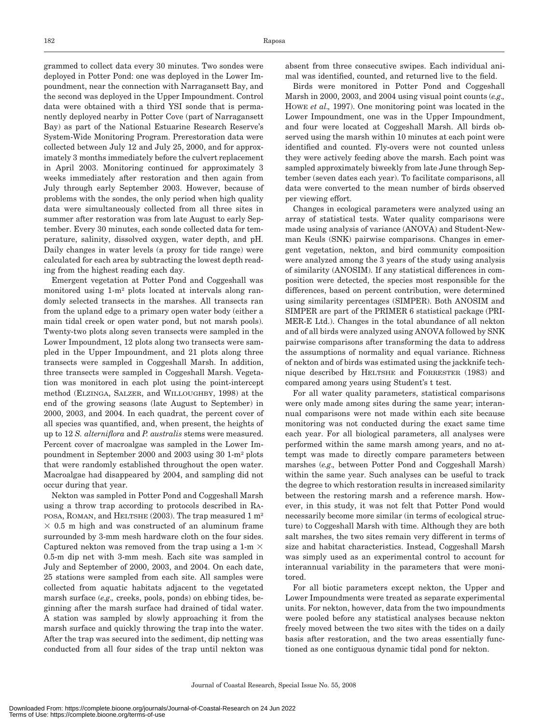grammed to collect data every 30 minutes. Two sondes were deployed in Potter Pond: one was deployed in the Lower Impoundment, near the connection with Narragansett Bay, and the second was deployed in the Upper Impoundment. Control data were obtained with a third YSI sonde that is permanently deployed nearby in Potter Cove (part of Narragansett Bay) as part of the National Estuarine Research Reserve's System-Wide Monitoring Program. Prerestoration data were collected between July 12 and July 25, 2000, and for approximately 3 months immediately before the culvert replacement in April 2003. Monitoring continued for approximately 3 weeks immediately after restoration and then again from July through early September 2003. However, because of problems with the sondes, the only period when high quality data were simultaneously collected from all three sites in summer after restoration was from late August to early September. Every 30 minutes, each sonde collected data for temperature, salinity, dissolved oxygen, water depth, and pH. Daily changes in water levels (a proxy for tide range) were calculated for each area by subtracting the lowest depth reading from the highest reading each day.

Emergent vegetation at Potter Pond and Coggeshall was monitored using 1-m2 plots located at intervals along randomly selected transects in the marshes. All transects ran from the upland edge to a primary open water body (either a main tidal creek or open water pond, but not marsh pools). Twenty-two plots along seven transects were sampled in the Lower Impoundment, 12 plots along two transects were sampled in the Upper Impoundment, and 21 plots along three transects were sampled in Coggeshall Marsh. In addition, three transects were sampled in Coggeshall Marsh. Vegetation was monitored in each plot using the point-intercept method (ELZINGA, SALZER, and WILLOUGHBY, 1998) at the end of the growing seasons (late August to September) in 2000, 2003, and 2004. In each quadrat, the percent cover of all species was quantified, and, when present, the heights of up to 12 *S. alterniflora* and *P. australis* stems were measured. Percent cover of macroalgae was sampled in the Lower Impoundment in September 2000 and 2003 using 30 1-m2 plots that were randomly established throughout the open water. Macroalgae had disappeared by 2004, and sampling did not occur during that year.

Nekton was sampled in Potter Pond and Coggeshall Marsh using a throw trap according to protocols described in RA-POSA, ROMAN, and HELTSHE (2003). The trap measured 1 m<sup>2</sup>  $\times$  0.5 m high and was constructed of an aluminum frame surrounded by 3-mm mesh hardware cloth on the four sides. Captured nekton was removed from the trap using a 1-m  $\times$ 0.5-m dip net with 3-mm mesh. Each site was sampled in July and September of 2000, 2003, and 2004. On each date, 25 stations were sampled from each site. All samples were collected from aquatic habitats adjacent to the vegetated marsh surface (*e.g.,* creeks, pools, ponds) on ebbing tides, beginning after the marsh surface had drained of tidal water. A station was sampled by slowly approaching it from the marsh surface and quickly throwing the trap into the water. After the trap was secured into the sediment, dip netting was conducted from all four sides of the trap until nekton was

absent from three consecutive swipes. Each individual animal was identified, counted, and returned live to the field.

Birds were monitored in Potter Pond and Coggeshall Marsh in 2000, 2003, and 2004 using visual point counts (*e.g.,* HOWE *et al.,* 1997). One monitoring point was located in the Lower Impoundment, one was in the Upper Impoundment, and four were located at Coggeshall Marsh. All birds observed using the marsh within 10 minutes at each point were identified and counted. Fly-overs were not counted unless they were actively feeding above the marsh. Each point was sampled approximately biweekly from late June through September (seven dates each year). To facilitate comparisons, all data were converted to the mean number of birds observed per viewing effort.

Changes in ecological parameters were analyzed using an array of statistical tests. Water quality comparisons were made using analysis of variance (ANOVA) and Student-Newman Keuls (SNK) pairwise comparisons. Changes in emergent vegetation, nekton, and bird community composition were analyzed among the 3 years of the study using analysis of similarity (ANOSIM). If any statistical differences in composition were detected, the species most responsible for the differences, based on percent contribution, were determined using similarity percentages (SIMPER). Both ANOSIM and SIMPER are part of the PRIMER 6 statistical package (PRI-MER-E Ltd.). Changes in the total abundance of all nekton and of all birds were analyzed using ANOVA followed by SNK pairwise comparisons after transforming the data to address the assumptions of normality and equal variance. Richness of nekton and of birds was estimated using the jackknife technique described by HELTSHE and FORRESTER (1983) and compared among years using Student's t test.

For all water quality parameters, statistical comparisons were only made among sites during the same year; interannual comparisons were not made within each site because monitoring was not conducted during the exact same time each year. For all biological parameters, all analyses were performed within the same marsh among years, and no attempt was made to directly compare parameters between marshes (*e.g.,* between Potter Pond and Coggeshall Marsh) within the same year. Such analyses can be useful to track the degree to which restoration results in increased similarity between the restoring marsh and a reference marsh. However, in this study, it was not felt that Potter Pond would necessarily become more similar (in terms of ecological structure) to Coggeshall Marsh with time. Although they are both salt marshes, the two sites remain very different in terms of size and habitat characteristics. Instead, Coggeshall Marsh was simply used as an experimental control to account for interannual variability in the parameters that were monitored.

For all biotic parameters except nekton, the Upper and Lower Impoundments were treated as separate experimental units. For nekton, however, data from the two impoundments were pooled before any statistical analyses because nekton freely moved between the two sites with the tides on a daily basis after restoration, and the two areas essentially functioned as one contiguous dynamic tidal pond for nekton.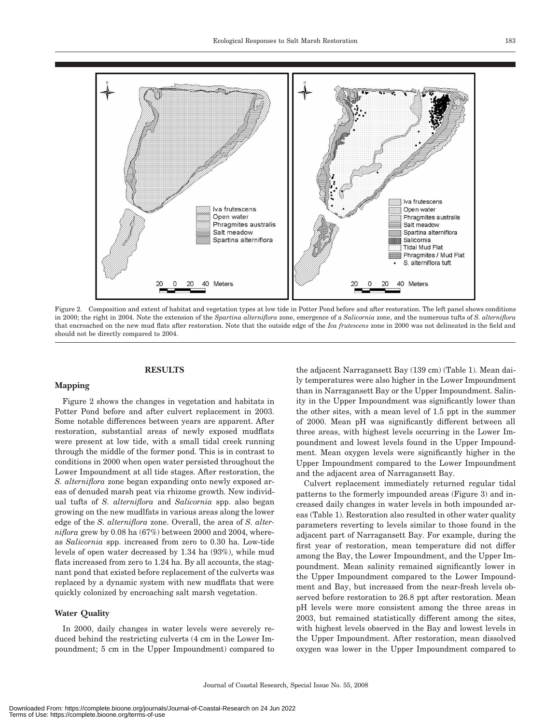Figure 2. Composition and extent of habitat and vegetation types at low tide in Potter Pond before and after restoration. The left panel shows conditions in 2000; the right in 2004. Note the extension of the *Spartina alterniflora* zone, emergence of a *Salicornia* zone, and the numerous tufts of *S. alterniflora* that encroached on the new mud flats after restoration. Note that the outside edge of the *Iva frutescens* zone in 2000 was not delineated in the field and should not be directly compared to 2004.

#### **RESULTS**

# **Mapping**

Figure 2 shows the changes in vegetation and habitats in Potter Pond before and after culvert replacement in 2003. Some notable differences between years are apparent. After restoration, substantial areas of newly exposed mudflats were present at low tide, with a small tidal creek running through the middle of the former pond. This is in contrast to conditions in 2000 when open water persisted throughout the Lower Impoundment at all tide stages. After restoration, the *S. alterniflora* zone began expanding onto newly exposed areas of denuded marsh peat via rhizome growth. New individual tufts of *S. alterniflora* and *Salicornia* spp. also began growing on the new mudlfats in various areas along the lower edge of the *S. alterniflora* zone. Overall, the area of *S. alterniflora* grew by 0.08 ha (67%) between 2000 and 2004, whereas *Salicornia* spp. increased from zero to 0.30 ha. Low-tide levels of open water decreased by 1.34 ha (93%), while mud flats increased from zero to 1.24 ha. By all accounts, the stagnant pond that existed before replacement of the culverts was replaced by a dynamic system with new mudflats that were quickly colonized by encroaching salt marsh vegetation.

#### **Water Quality**

In 2000, daily changes in water levels were severely reduced behind the restricting culverts (4 cm in the Lower Impoundment; 5 cm in the Upper Impoundment) compared to

the adjacent Narragansett Bay (139 cm) (Table 1). Mean daily temperatures were also higher in the Lower Impoundment than in Narragansett Bay or the Upper Impoundment. Salinity in the Upper Impoundment was significantly lower than the other sites, with a mean level of 1.5 ppt in the summer of 2000. Mean pH was significantly different between all three areas, with highest levels occurring in the Lower Impoundment and lowest levels found in the Upper Impoundment. Mean oxygen levels were significantly higher in the Upper Impoundment compared to the Lower Impoundment and the adjacent area of Narragansett Bay.

Culvert replacement immediately returned regular tidal patterns to the formerly impounded areas (Figure 3) and increased daily changes in water levels in both impounded areas (Table 1). Restoration also resulted in other water quality parameters reverting to levels similar to those found in the adjacent part of Narragansett Bay. For example, during the first year of restoration, mean temperature did not differ among the Bay, the Lower Impoundment, and the Upper Impoundment. Mean salinity remained significantly lower in the Upper Impoundment compared to the Lower Impoundment and Bay, but increased from the near-fresh levels observed before restoration to 26.8 ppt after restoration. Mean pH levels were more consistent among the three areas in 2003, but remained statistically different among the sites, with highest levels observed in the Bay and lowest levels in the Upper Impoundment. After restoration, mean dissolved oxygen was lower in the Upper Impoundment compared to



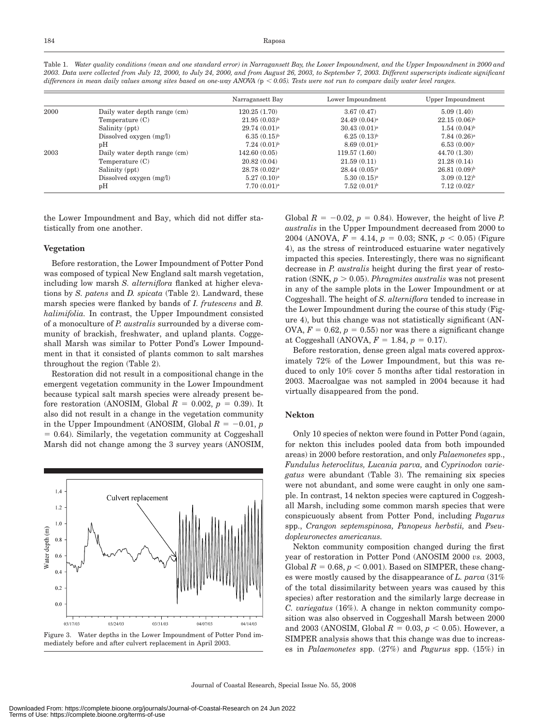|  |                                                                                                                                             |  |  | Table 1. Water quality conditions (mean and one standard error) in Narragansett Bay, the Lower Impoundment, and the Upper Impoundment in 2000 and           |  |
|--|---------------------------------------------------------------------------------------------------------------------------------------------|--|--|-------------------------------------------------------------------------------------------------------------------------------------------------------------|--|
|  |                                                                                                                                             |  |  | 2003. Data were collected from July 12, 2000, to July 24, 2000, and from August 26, 2003, to September 7, 2003. Different superscripts indicate significant |  |
|  | differences in mean daily values among sites based on one-way ANOVA ( $p < 0.05$ ). Tests were not run to compare daily water level ranges. |  |  |                                                                                                                                                             |  |

|      |                              | Narragansett Bay        | Lower Impoundment          | Upper Impoundment          |
|------|------------------------------|-------------------------|----------------------------|----------------------------|
| 2000 | Daily water depth range (cm) | 120.25(1.70)            | 3.67(0.47)                 | 5.09(1.40)                 |
|      | Temperature $(C)$            | $21.95(0.03)^{b}$       | $24.49(0.04)$ <sup>a</sup> | $22.15(0.06)^b$            |
|      | Salinity (ppt)               | $29.74(0.01)^a$         | $30.43(0.01)^a$            | $1.54(0.04)^{b}$           |
|      | Dissolved oxygen $(mg/l)$    | $6.35(0.15)^{b}$        | $6.25(0.13)^{b}$           | $7.84~(0.26)$ <sup>a</sup> |
|      | pH                           | $7.24(0.01)^b$          | 8.69(0.01) <sup>a</sup>    | $6.53(0.00)$ <sup>c</sup>  |
| 2003 | Daily water depth range (cm) | 142.60(0.05)            | 119.57(1.60)               | 44.70 $(1.30)$             |
|      | Temperature $(C)$            | 20.82(0.04)             | 21.59(0.11)                | 21.28(0.14)                |
|      | Salinity (ppt)               | $28.78(0.02)^a$         | $28.44(0.05)^a$            | $26.81(0.09)^{b}$          |
|      | Dissolved oxygen (mg/l)      | $5.27(0.10)^a$          | $5.30(0.15)^a$             | $3.09(0.12)^{b}$           |
|      | pH                           | 7.70(0.01) <sup>a</sup> | $7.52(0.01)^b$             | $7.12 (0.02)^c$            |

the Lower Impoundment and Bay, which did not differ statistically from one another.

#### **Vegetation**

Before restoration, the Lower Impoundment of Potter Pond was composed of typical New England salt marsh vegetation, including low marsh *S. alterniflora* flanked at higher elevations by *S. patens* and *D. spicata* (Table 2). Landward, these marsh species were flanked by bands of *I. frutescens* and *B. halimifolia.* In contrast, the Upper Impoundment consisted of a monoculture of *P. australis* surrounded by a diverse community of brackish, freshwater, and upland plants. Coggeshall Marsh was similar to Potter Pond's Lower Impoundment in that it consisted of plants common to salt marshes throughout the region (Table 2).

Restoration did not result in a compositional change in the emergent vegetation community in the Lower Impoundment because typical salt marsh species were already present before restoration (ANOSIM, Global  $R = 0.002$ ,  $p = 0.39$ ). It also did not result in a change in the vegetation community in the Upper Impoundment (ANOSIM, Global  $R = -0.01$ ,  $p$  $= 0.64$ ). Similarly, the vegetation community at Coggeshall Marsh did not change among the 3 survey years (ANOSIM,



mediately before and after culvert replacement in April 2003.

Global  $R = -0.02$ ,  $p = 0.84$ ). However, the height of live *P*. *australis* in the Upper Impoundment decreased from 2000 to 2004 (ANOVA,  $F = 4.14$ ,  $p = 0.03$ ; SNK,  $p < 0.05$ ) (Figure 4), as the stress of reintroduced estuarine water negatively impacted this species. Interestingly, there was no significant decrease in *P. australis* height during the first year of restoration (SNK,  $p > 0.05$ ). *Phragmites australis* was not present in any of the sample plots in the Lower Impoundment or at Coggeshall. The height of *S. alterniflora* tended to increase in the Lower Impoundment during the course of this study (Figure 4), but this change was not statistically significant (AN-OVA,  $F = 0.62$ ,  $p = 0.55$ ) nor was there a significant change at Coggeshall (ANOVA,  $F = 1.84$ ,  $p = 0.17$ ).

Before restoration, dense green algal mats covered approximately 72% of the Lower Impoundment, but this was reduced to only 10% cover 5 months after tidal restoration in 2003. Macroalgae was not sampled in 2004 because it had virtually disappeared from the pond.

#### **Nekton**

Only 10 species of nekton were found in Potter Pond (again, for nekton this includes pooled data from both impounded areas) in 2000 before restoration, and only *Palaemonetes* spp., *Fundulus heteroclitus, Lucania parva,* and *Cyprinodon variegatus* were abundant (Table 3). The remaining six species were not abundant, and some were caught in only one sample. In contrast, 14 nekton species were captured in Coggeshall Marsh, including some common marsh species that were conspicuously absent from Potter Pond, including *Pagarus* spp., *Crangon septemspinosa, Panopeus herbstii,* and *Pseudopleuronectes americanus.*

Nekton community composition changed during the first year of restoration in Potter Pond (ANOSIM 2000 *vs.* 2003, Global  $R = 0.68$ ,  $p < 0.001$ ). Based on SIMPER, these changes were mostly caused by the disappearance of *L. parva* (31% of the total dissimilarity between years was caused by this species) after restoration and the similarly large decrease in *C. variegatus* (16%). A change in nekton community composition was also observed in Coggeshall Marsh between 2000 and 2003 (ANOSIM, Global  $R = 0.03$ ,  $p < 0.05$ ). However, a SIMPER analysis shows that this change was due to increases in *Palaemonetes* spp. (27%) and *Pagurus* spp. (15%) in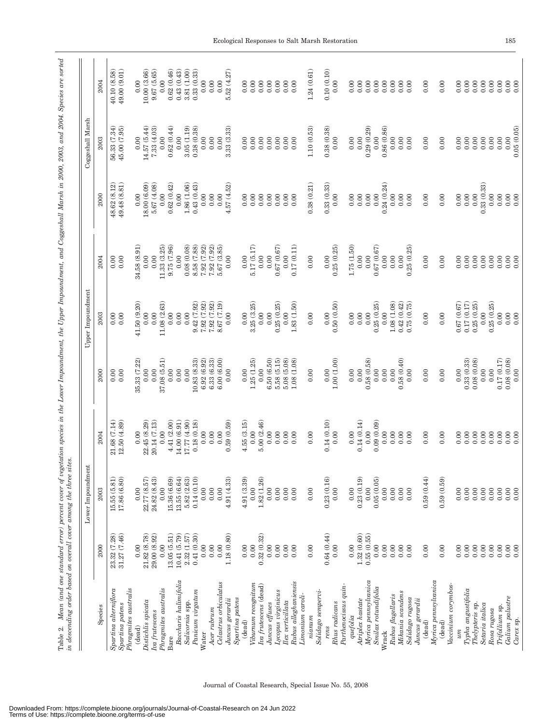|                                          |                              | Lower Impoundment            |                                                                 |                          | Upper Impoundment                                             |                                                                                |                              | Coggeshall Marsh                                                 |                                            |
|------------------------------------------|------------------------------|------------------------------|-----------------------------------------------------------------|--------------------------|---------------------------------------------------------------|--------------------------------------------------------------------------------|------------------------------|------------------------------------------------------------------|--------------------------------------------|
| Species                                  | 2000                         | 2003                         | 2004                                                            | 2000                     | 2003                                                          | 2004                                                                           | 2000                         | 2003                                                             | 2004                                       |
| Spartina alterniflora<br>Spartina patens | 31.27 (7.46)<br>23.32 (7.28) | 17.86 (6.80)<br>15.55 (5.81) | 12.50 (4.89)<br>21.68 (7.14)                                    | 0.00<br>0.00             | 0.00000                                                       | 0.00<br>0.00                                                                   | 49.48 (8.81)<br>48.62 (8.12) | $\begin{array}{c} 56.33 \ (7.34) \\ 45.00 \ (7.95) \end{array}$  | 40.10 (8.58)<br>49.00 (9.01)               |
| Phragmites australis                     |                              |                              |                                                                 |                          |                                                               |                                                                                |                              |                                                                  |                                            |
| Distichlis spicata<br>(dead)             | 21.82 (8.78)<br>$0.00$       | 22.77 (8.57)<br>0.00         | 0.00                                                            | 35.33 (7.22)<br>0.00     | 41.50 (9.20)<br>0.00                                          | 34.58 (8.91)<br>0.00                                                           | 18.00 (6.09)<br>0.00         | 0.00                                                             | 0.00                                       |
| Iva frutescens                           | 29.00 (8.92)                 | 24.82 (8.43)                 | $\begin{array}{c} 22.45 \ (8.29) \\ 20.14 \ (7.13) \end{array}$ | 0.00                     | 0.00                                                          | 0.00                                                                           | 5.67 (4.08)                  | $\begin{array}{c} 14.57 \; (5.44) \\ 7.33 \; (4.03) \end{array}$ | $\frac{10.00}{9.67} \frac{(3.66)}{(5.65)}$ |
| Phragmites australis                     | 0.00                         | 0.00                         | 0.00                                                            | 37.08 (5.51)             | 11.08 (2.63)                                                  | 11.33(3.25)                                                                    | 0.00                         | 0.00                                                             | 0.00                                       |
| Bare                                     | 13.05(5.51)                  | 15.36 (6.69)                 | 4.41(2.00)                                                      | 0.00                     | 0.00                                                          | 9.75(7.96)                                                                     | 0.62(0.42)                   | 0.62(0.44)                                                       | 0.62(0.46)                                 |
| Baccharis halimifolia                    | 10.41 (5.79)                 | 13.55(6.64)                  | 14.00(6.91)                                                     | 0.00                     | $0.00\,$                                                      | 0.00                                                                           | 0.00                         | 0.00                                                             | 0.43(0.43)                                 |
| Salicornia spp.                          | 2.32(1.57)                   | 5.82 (2.63)                  | 17.77 (4.90)                                                    | 0.00                     | 0.00                                                          | 0.08(0.08)                                                                     | 1.86 (1.06)                  | 3.05(1.19)                                                       | 3.81 (1.00)                                |
| Panicum virgatum                         | 0.41(0.30)                   | 0.14(0.10)                   | 0.18(0.18)                                                      | 10.83 (8.33)             | 9.42 (7.92)                                                   | 8.58 (7.88)                                                                    | 0.43(0.43)                   | 0.38(0.38)                                                       | 0.33(0.33)                                 |
| Water                                    | 0.00                         | 0.00                         | 0.00                                                            | 6.92(6.92)               | $\begin{array}{c} 7.92 \ (7.92) \\ 7.92 \ (7.92) \end{array}$ |                                                                                | 0.00                         | 0.00                                                             | 0.00                                       |
| Acer rubrum                              | $0.00$<br>0.00               | 0.00<br>0.00                 | 0.00<br>0.00                                                    | 6.33(6.33)<br>6.00(6.00) | 8.67 (7.19)                                                   | $\begin{array}{l} 7.92 \ (7.92) \\ 7.92 \ (7.92) \\ 5.67 \ (3.85) \end{array}$ | $0.00$<br>0.00               | $0.00$<br>$0.00\,$                                               | 0.00<br>$0.00$                             |
| Celastrus orbiculatus<br>Juncus gerardii | 1.18(0.80)                   | 4.91 (4.33)                  | 0.59(0.59)                                                      | 0.00                     | 0.00                                                          | 0.00                                                                           | 4.57(4.52)                   | 3.33 (3.33)                                                      | 5.52 (4.27)                                |
| Spartina patens                          |                              |                              |                                                                 |                          |                                                               |                                                                                |                              |                                                                  |                                            |
| (dead)                                   | 0.00                         | 4.91 (3.39)                  | 4.55(3.15)                                                      | 0.00                     | 0.00                                                          | 0.00                                                                           | 0.00                         | 0.00                                                             | 0.00                                       |
| Viburnum recognitum                      | 0.00                         | 0.00                         | 0.00                                                            | 1.25(1.25)               | 3.25 (3.25)                                                   | 5.17 (5.17)                                                                    | 0.00                         | 0.00                                                             | 0.00                                       |
| Iva frutescens (dead)                    | 0.32(0.32)                   | 1.82 (1.26)                  | 5.00(2.46)                                                      | 0.00                     | $0.00$                                                        | 0.00                                                                           | 0.00                         | 0.00                                                             | 0.00                                       |
| Juncus effuses                           | 0.00                         | 0.00                         | $0.00$                                                          | 6.50(6.50)               | 0.00                                                          | 0.00                                                                           | 0.00                         | 0.00                                                             | 0.00                                       |
| Lycopus virginicus                       | 0.00                         | 0.00                         | $0.00$                                                          | 5.58 (5.15)              | 0.25(0.25)                                                    | 0.67(0.67)                                                                     | $0.00$                       | 0.00                                                             | 0.00                                       |
| Ilex verticillata                        | 0.00                         | $0.00$                       | 0.00                                                            | 5.08 (5.08)              | 0.00                                                          | 0.00                                                                           | 0.00                         | 0.00                                                             | 0.00                                       |
| Rubus alleghaniensis<br>Limonium caroli- | 0.00                         | 0.00                         | 0.00                                                            | 1.08(1.08)               | 1.83(1.50)                                                    | 0.17(0.11)                                                                     | 0.00                         | 0.00                                                             | 0.00                                       |
| niam                                     | $0.00$                       | $0.00$                       | 0.00                                                            | $0.00$                   | 0.00                                                          | $0.00$                                                                         | 0.38(0.21)                   | 1.10(0.53)                                                       | 1.24(0.61)                                 |
| Solidago sempervi-                       |                              |                              |                                                                 |                          |                                                               |                                                                                |                              |                                                                  |                                            |
| rens                                     | 0.64(0.44)                   | 0.23(0.16)                   | 0.14(0.10)                                                      | 0.00                     | $0.00\,$                                                      | $0.00$                                                                         | 0.33(0.33)                   | 0.38(0.38)                                                       | 0.10(0.10)                                 |
| Rhus radicans                            | 0.00                         | 0.00                         | 0.00                                                            | 1.00(1.00)               | 0.50(0.50)                                                    | 0.25(0.25)                                                                     | $0.00$                       | $0.00\,$                                                         | 0.00                                       |
| Parthenocissus quin-                     |                              |                              |                                                                 |                          |                                                               |                                                                                |                              |                                                                  |                                            |
| quefolia                                 | 0.00                         | 0.00                         | 0.00                                                            | 0.00                     | 0.00                                                          | 1.75(1.50)                                                                     | $0.00$                       | $0.00\,$                                                         | 0.00                                       |
| Myrica pennsylvanica<br>Atriplex hastate | 1.32(0.60)<br>0.55(0.55)     | 0.23(0.19)<br>0.00           | 0.14(0.14)<br>0.00                                              | 0.58(0.58)<br>0.00       | 0.00<br>$0.00$                                                | 0.00<br>0.00                                                                   | 0.00<br>0.00                 | 0.29(0.29)<br>$0.00$                                             | 0.00<br>0.00                               |
| Smilax rotundifolia                      | 0.00                         | 0.05(0.05)                   | 0.09(0.09)                                                      | 0.00                     | 0.25(0.25)                                                    | 0.67(0.67)                                                                     | 0.00                         | 0.00                                                             | 0.00                                       |
| Wrack                                    | 0.00                         | $0.00$                       | 0.00                                                            | 0.00                     | 0.00                                                          | 0.00                                                                           | 0.24(0.24)                   | 0.86(0.86)                                                       | 0.00                                       |
| Rubus flagellaris                        | 0.00                         | $0.00$                       | $0.00$                                                          | 0.00                     | 1.08(1.08)                                                    | $0.00$                                                                         | 0.00                         | $0.00$                                                           | 0.00                                       |
| Mikania scandens                         | 0.00                         | $0.00$                       | 0.00                                                            | 0.58(0.40)               | 0.42(0.42)                                                    | $0.00$                                                                         | 0.00                         | 0.00                                                             | 0.00                                       |
| Solidago rugosa                          | 0.00                         | 0.00                         | 0.00                                                            | $0.00$                   | 0.75(0.75)                                                    | 0.25(0.25)                                                                     | 0.00                         | 0.00                                                             | 0.00                                       |
| Juncus gerardii                          |                              |                              |                                                                 |                          |                                                               |                                                                                |                              |                                                                  |                                            |
| Myrica pennsylvanica<br>(dead)           | 0.00                         | 0.59(0.44)                   | 0.00                                                            | $0.00$                   | $0.00$                                                        | 0.00                                                                           | 0.00                         | 0.00                                                             | 0.00                                       |
| (dend)                                   | 0.00                         | 0.59(0.59)                   | 0.00                                                            | $0.00$                   | $0.00$                                                        | 0.00                                                                           | 0.00                         | 0.00                                                             | 0.00                                       |
| Vaccinium corymbos-                      |                              |                              |                                                                 |                          |                                                               |                                                                                |                              |                                                                  |                                            |
| um                                       | 0.00                         | 0.00                         | 0.00                                                            | $0.00$                   | 0.67(0.67)                                                    | 0.00                                                                           | $0.00\,$                     | 0.00                                                             | 0.00                                       |
| Typha angustifolia                       | 0.00                         | 0.00                         | 0.00                                                            | 0.33(0.33)               | 0.17(0.17)                                                    | 0.00                                                                           | $0.00\,$                     | 0.00                                                             | 0.00                                       |
| Thelypteris sp.                          | 0.00                         | $0.00$                       | 0.00                                                            | 0.08(0.08)               | 0.25(0.25)                                                    | 0.00                                                                           | 0.00                         |                                                                  | 0.00                                       |
| Setaria italica                          | 0.00                         | 0.00                         | 0.00                                                            | 0.00                     | 0.00                                                          | 0.00                                                                           | 0.33(0.33)                   |                                                                  | 0.00                                       |
| Trifollium sp.<br>Rosa rugosa            | 0.00<br>0.00                 | 0.00<br>0.00                 | 0.00<br>0.00                                                    | 0.17(0.17)<br>0.00       | 0.25(0.25)<br>0.00                                            | 0.00<br>0.00                                                                   | 0.00<br>$0.00$               | $0.00\,$<br>0.00                                                 | 0.00<br>0.00                               |
|                                          | 0.00                         | 0.00                         |                                                                 | 0.08(0.08)               |                                                               |                                                                                |                              | $0.00$                                                           |                                            |
| Galium palustre<br>Carex sp.             | 0.00                         | 0.00                         |                                                                 | $0.00$                   | 0.00000                                                       | 0.000000                                                                       | 0.0000                       | 0.05(0.05)                                                       | 0.000000                                   |

Journal of Coastal Research, Special Issue No. 55, 2008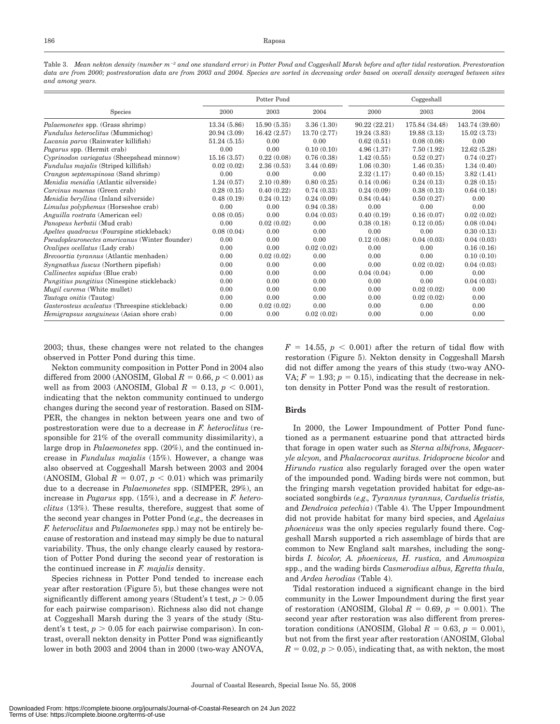Table 3. *Mean nekton density (number m*-*<sup>2</sup> and one standard error) in Potter Pond and Coggeshall Marsh before and after tidal restoration. Prerestoration data are from 2000; postrestoration data are from 2003 and 2004. Species are sorted in decreasing order based on overall density averaged between sites and among years.*

|                                                    |              | Potter Pond |              |              | Coggeshall     |                |
|----------------------------------------------------|--------------|-------------|--------------|--------------|----------------|----------------|
| Species                                            | 2000         | 2003        | 2004         | 2000         | 2003           | 2004           |
| Palaemonetes spp. (Grass shrimp)                   | 13.34(5.86)  | 15.90(5.35) | 3.36(1.30)   | 90.22(22.21) | 175.84 (34.48) | 143.74 (39.60) |
| Fundulus heteroclitus (Mummichog)                  | 20.94 (3.09) | 16.42(2.57) | 13.70 (2.77) | 19.24(3.83)  | 19.88(3.13)    | 15.02(3.73)    |
| Lucania parva (Rainwater killifish)                | 51.24(5.15)  | 0.00        | 0.00         | 0.62(0.51)   | 0.08(0.08)     | 0.00           |
| Pagarus spp. (Hermit crab)                         | 0.00         | 0.00        | 0.10(0.10)   | 4.96(1.37)   | 7.50(1.92)     | 12.62(5.28)    |
| Cyprinodon variegatus (Sheepshead minnow)          | 15.16(3.57)  | 0.22(0.08)  | 0.76(0.38)   | 1.42(0.55)   | 0.52(0.27)     | 0.74(0.27)     |
| Fundulus majalis (Striped killifish)               | 0.02(0.02)   | 2.36(0.53)  | 3.44(0.69)   | 1.06(0.30)   | 1.46(0.35)     | 1.34(0.40)     |
| Crangon septemspinosa (Sand shrimp)                | 0.00         | 0.00        | 0.00         | 2.32(1.17)   | 0.40(0.15)     | 3.82(1.41)     |
| Menidia menidia (Atlantic silverside)              | 1.24(0.57)   | 2.10(0.89)  | 0.80(0.25)   | 0.14(0.06)   | 0.24(0.13)     | 0.28(0.15)     |
| Carcinus maenas (Green crab)                       | 0.28(0.15)   | 0.40(0.22)  | 0.74(0.33)   | 0.24(0.09)   | 0.38(0.13)     | 0.64(0.18)     |
| Menidia beryllina (Inland silverside)              | 0.48(0.19)   | 0.24(0.12)  | 0.24(0.09)   | 0.84(0.44)   | 0.50(0.27)     | 0.00           |
| Limulus polyphemus (Horseshoe crab)                | 0.00         | 0.00        | 0.94(0.38)   | 0.00         | 0.00           | 0.00           |
| Anguilla rostrata (American eel)                   | 0.08(0.05)   | 0.00        | 0.04(0.03)   | 0.40(0.19)   | 0.16(0.07)     | 0.02(0.02)     |
| Panopeus herbstii (Mud crab)                       | 0.00         | 0.02(0.02)  | 0.00         | 0.38(0.18)   | 0.12(0.05)     | 0.08(0.04)     |
| Apeltes quadracus (Fourspine stickleback)          | 0.08(0.04)   | 0.00        | 0.00         | 0.00         | 0.00           | 0.30(0.13)     |
| Pseudopleuronectes americanus (Winter flounder)    | 0.00         | 0.00        | 0.00         | 0.12(0.08)   | 0.04(0.03)     | 0.04(0.03)     |
| <i>Ovalipes ocellatus</i> (Lady crab)              | 0.00         | 0.00        | 0.02(0.02)   | 0.00         | 0.00           | 0.16(0.16)     |
| Brevoortia tyrannus (Atlantic menhaden)            | 0.00         | 0.02(0.02)  | 0.00         | 0.00         | 0.00           | 0.10(0.10)     |
| Syngnathus fuscus (Northern pipefish)              | 0.00         | 0.00        | 0.00         | 0.00         | 0.02(0.02)     | 0.04(0.03)     |
| Callinectes sapidus (Blue crab)                    | 0.00         | 0.00        | 0.00         | 0.04(0.04)   | 0.00           | 0.00           |
| <i>Pungitius pungitius</i> (Ninespine stickleback) | 0.00         | 0.00        | 0.00         | 0.00         | 0.00           | 0.04(0.03)     |
| Mugil curema (White mullet)                        | 0.00         | 0.00        | 0.00         | 0.00         | 0.02(0.02)     | 0.00           |
| Tautoga onitis (Tautog)                            | 0.00         | 0.00        | 0.00         | 0.00         | 0.02(0.02)     | 0.00           |
| Gasterosteus aculeatus (Threespine stickleback)    | 0.00         | 0.02(0.02)  | 0.00         | 0.00         | 0.00           | 0.00           |
| Hemigrapsus sanguineus (Asian shore crab)          | 0.00         | 0.00        | 0.02(0.02)   | 0.00         | 0.00           | 0.00           |

2003; thus, these changes were not related to the changes observed in Potter Pond during this time.

Nekton community composition in Potter Pond in 2004 also differed from 2000 (ANOSIM, Global  $R = 0.66$ ,  $p < 0.001$ ) as well as from 2003 (ANOSIM, Global  $R = 0.13$ ,  $p < 0.001$ ), indicating that the nekton community continued to undergo changes during the second year of restoration. Based on SIM-PER, the changes in nekton between years one and two of postrestoration were due to a decrease in *F. heteroclitus* (responsible for 21% of the overall community dissimilarity), a large drop in *Palaemonetes* spp. (20%), and the continued increase in *Fundulus majalis* (15%). However, a change was also observed at Coggeshall Marsh between 2003 and 2004 (ANOSIM, Global  $R = 0.07$ ,  $p < 0.01$ ) which was primarily due to a decrease in *Palaemonetes* spp. (SIMPER, 29%), an increase in *Pagarus* spp. (15%), and a decrease in *F. heteroclitus* (13%). These results, therefore, suggest that some of the second year changes in Potter Pond (*e.g.,* the decreases in *F. heteroclitus* and *Palaemonetes* spp.) may not be entirely because of restoration and instead may simply be due to natural variability. Thus, the only change clearly caused by restoration of Potter Pond during the second year of restoration is the continued increase in *F. majalis* density.

Species richness in Potter Pond tended to increase each year after restoration (Figure 5), but these changes were not significantly different among years (Student's t test,  $p > 0.05$ for each pairwise comparison). Richness also did not change at Coggeshall Marsh during the 3 years of the study (Student's t test,  $p > 0.05$  for each pairwise comparison). In contrast, overall nekton density in Potter Pond was significantly lower in both 2003 and 2004 than in 2000 (two-way ANOVA,  $F = 14.55$ ,  $p < 0.001$ ) after the return of tidal flow with restoration (Figure 5). Nekton density in Coggeshall Marsh did not differ among the years of this study (two-way ANO-VA;  $F = 1.93$ ;  $p = 0.15$ ), indicating that the decrease in nekton density in Potter Pond was the result of restoration.

#### **Birds**

In 2000, the Lower Impoundment of Potter Pond functioned as a permanent estuarine pond that attracted birds that forage in open water such as *Sterna albifrons, Megaceryle alcyon,* and *Phalacrocorax auritus. Iridoprocne bicolor* and *Hirundo rustica* also regularly foraged over the open water of the impounded pond. Wading birds were not common, but the fringing marsh vegetation provided habitat for edge-associated songbirds (*e.g., Tyrannus tyrannus, Carduelis tristis,* and *Dendroica petechia*) (Table 4). The Upper Impoundment did not provide habitat for many bird species, and *Agelaius phoeniceus* was the only species regularly found there. Coggeshall Marsh supported a rich assemblage of birds that are common to New England salt marshes, including the songbirds *I. bicolor, A. phoeniceus, H. rustica,* and *Ammospiza* spp., and the wading birds *Casmerodius albus, Egretta thula,* and *Ardea herodias* (Table 4).

Tidal restoration induced a significant change in the bird community in the Lower Impoundment during the first year of restoration (ANOSIM, Global  $R = 0.69$ ,  $p = 0.001$ ). The second year after restoration was also different from prerestoration conditions (ANOSIM, Global  $R = 0.63$ ,  $p = 0.001$ ), but not from the first year after restoration (ANOSIM, Global  $R = 0.02, p > 0.05$ , indicating that, as with nekton, the most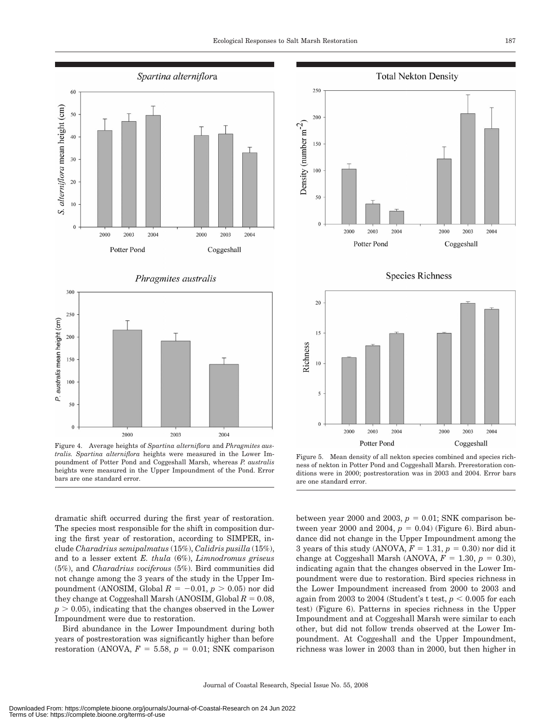



Spartina alterniflora

60

 $50$ 

 $40$ 

 $30$ 

 $10$ 

 $\theta$ 

300

250

200

150

100

50

P. australis mean height (cm)

2000

2003

Potter Pond

2004

Phragmites australis

2000

2003

Coggeshall

2004

S. alterniflora mean height (cm)







Figure 5. Mean density of all nekton species combined and species richness of nekton in Potter Pond and Coggeshall Marsh. Prerestoration conditions were in 2000; postrestoration was in 2003 and 2004. Error bars are one standard error.

dramatic shift occurred during the first year of restoration. The species most responsible for the shift in composition during the first year of restoration, according to SIMPER, include *Charadrius semipalmatus* (15%), *Calidris pusilla* (15%), and to a lesser extent *E. thula* (6%), *Limnodromus griseus* (5%), and *Charadrius vociferous* (5%). Bird communities did not change among the 3 years of the study in the Upper Impoundment (ANOSIM, Global  $R = -0.01$ ,  $p > 0.05$ ) nor did they change at Coggeshall Marsh (ANOSIM, Global  $R = 0.08$ ,  $p > 0.05$ ), indicating that the changes observed in the Lower Impoundment were due to restoration.

Bird abundance in the Lower Impoundment during both years of postrestoration was significantly higher than before restoration (ANOVA,  $F = 5.58$ ,  $p = 0.01$ ; SNK comparison

between year 2000 and 2003,  $p = 0.01$ ; SNK comparison between year 2000 and 2004,  $p = 0.04$ ) (Figure 6). Bird abundance did not change in the Upper Impoundment among the 3 years of this study (ANOVA,  $F = 1.31$ ,  $p = 0.30$ ) nor did it change at Coggeshall Marsh (ANOVA,  $F = 1.30$ ,  $p = 0.30$ ), indicating again that the changes observed in the Lower Impoundment were due to restoration. Bird species richness in the Lower Impoundment increased from 2000 to 2003 and again from 2003 to 2004 (Student's t test,  $p < 0.005$  for each test) (Figure 6). Patterns in species richness in the Upper Impoundment and at Coggeshall Marsh were similar to each other, but did not follow trends observed at the Lower Impoundment. At Coggeshall and the Upper Impoundment, richness was lower in 2003 than in 2000, but then higher in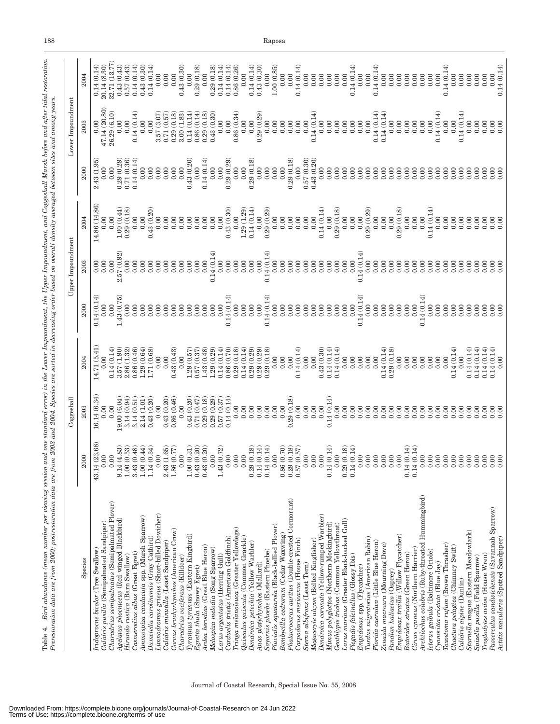| r.<br>Cir                                                    |                      |
|--------------------------------------------------------------|----------------------|
|                                                              |                      |
| Ĭ                                                            |                      |
|                                                              |                      |
|                                                              |                      |
|                                                              |                      |
|                                                              |                      |
|                                                              | j                    |
|                                                              |                      |
|                                                              |                      |
|                                                              |                      |
|                                                              | ١                    |
|                                                              |                      |
|                                                              |                      |
|                                                              |                      |
|                                                              |                      |
|                                                              |                      |
|                                                              | $500 - 250$          |
|                                                              |                      |
|                                                              |                      |
|                                                              |                      |
| como co                                                      |                      |
|                                                              |                      |
|                                                              |                      |
|                                                              |                      |
|                                                              |                      |
| ì                                                            |                      |
|                                                              |                      |
|                                                              | gcu                  |
|                                                              |                      |
| į<br>נ                                                       |                      |
|                                                              |                      |
| ļ<br>$\mathbf{r}$                                            |                      |
|                                                              |                      |
|                                                              |                      |
| $\ddot{\tilde{z}}$                                           |                      |
|                                                              |                      |
|                                                              |                      |
| こうしょう こうしょう                                                  |                      |
|                                                              |                      |
|                                                              |                      |
|                                                              |                      |
|                                                              |                      |
|                                                              |                      |
|                                                              |                      |
|                                                              |                      |
|                                                              |                      |
| i                                                            |                      |
|                                                              |                      |
| i                                                            | くりつくみ あつてきり ゴロコクラミク  |
|                                                              |                      |
| )<br>S                                                       |                      |
|                                                              |                      |
|                                                              |                      |
|                                                              | J                    |
|                                                              |                      |
|                                                              |                      |
|                                                              |                      |
| $-2.77$                                                      |                      |
|                                                              | š                    |
| þ<br>ׇ֚֘                                                     |                      |
| <b>TOP NOW!</b>                                              |                      |
|                                                              |                      |
|                                                              |                      |
|                                                              |                      |
| Ì                                                            |                      |
|                                                              |                      |
|                                                              |                      |
|                                                              |                      |
|                                                              | <b>ENGINEER</b>      |
|                                                              |                      |
|                                                              |                      |
|                                                              |                      |
|                                                              |                      |
|                                                              | j                    |
|                                                              |                      |
|                                                              |                      |
|                                                              |                      |
| j                                                            | ç                    |
| Ì                                                            |                      |
|                                                              | $\overline{a}$       |
|                                                              |                      |
|                                                              | š                    |
|                                                              | j<br>Š               |
|                                                              | ;<br>;               |
| ana c                                                        | $\frac{20}{3}$       |
|                                                              |                      |
|                                                              |                      |
|                                                              |                      |
| İ                                                            |                      |
| ׇ֚֕֡֡                                                        |                      |
|                                                              | i                    |
|                                                              | j                    |
|                                                              |                      |
|                                                              |                      |
|                                                              |                      |
|                                                              |                      |
|                                                              |                      |
|                                                              |                      |
|                                                              | -<br>;<br>;          |
|                                                              |                      |
|                                                              | $\ddot{\phantom{a}}$ |
|                                                              |                      |
|                                                              | i                    |
|                                                              | <br> <br>            |
|                                                              |                      |
|                                                              |                      |
|                                                              |                      |
| ì                                                            |                      |
|                                                              |                      |
|                                                              |                      |
|                                                              |                      |
|                                                              |                      |
|                                                              | - 222222             |
|                                                              |                      |
|                                                              |                      |
|                                                              |                      |
| į                                                            |                      |
|                                                              |                      |
| ֖֖֖֖֖֖֖֖֧ׅ֖֖֖֧ׅ֧֧֪֧֪֪֪֪֪֧֚֚֚֚֚֚֚֚֚֚֚֚֚֚֚֚֚֚֚֚֚֚֚֚֚֡֬֝֝֝֓֞֝֬֝ |                      |
|                                                              |                      |
| i                                                            | <b>12.55</b>         |
|                                                              |                      |
|                                                              |                      |
| l                                                            | į                    |
| י<br>נ                                                       |                      |
|                                                              |                      |
|                                                              |                      |
| י מו מ<br>I                                                  | I                    |

|                   | 2004    | 0.14(0.14)                         | 32.71 (13.77<br>20.14(8.30)               |                                               | 0.43(0.43)                                                                     | 0.57(0.43)                     | 0.14(0.14)                      | 0.43(0.30)                                                  | 0.14(0.14)                            | $0.00\,$                                    | $0.00\,$                             | 0.00                                  | 0.43(0.30)                       | 0.00                                 | 0.29(0.18)                  | 0.00                              | 0.29(0.18)                       | 0.14(0.14)                      | 0.14(0.14)                             | 0.86(0.26)                              | 0.00                                | 0.14(0.14)                          | 0.43(0.30)                   | 0.00                                       | 1.00(0.85)                                  | 0.00                                | 0.00                                             | 0.14(0.14)                         | 0.00                          | 0.00                                  | 0.00                                       | 0.00                                     | 0.00                                     | 0.14(0.14)<br>0.00                                                              | 0.00                        | 0.00                                | 0.14(0.14)                           | 0.00                             | 0.00                       | 0.00                                   | 0.00                             | 0.00                              | 0.00                                             | 0.00                               | 0.00                           | 0.14(0.14                        | 0.00<br>0.00                      | 0.00                                                             | 0.00                             | 0.00                           | 0.00                                         |  |
|-------------------|---------|------------------------------------|-------------------------------------------|-----------------------------------------------|--------------------------------------------------------------------------------|--------------------------------|---------------------------------|-------------------------------------------------------------|---------------------------------------|---------------------------------------------|--------------------------------------|---------------------------------------|----------------------------------|--------------------------------------|-----------------------------|-----------------------------------|----------------------------------|---------------------------------|----------------------------------------|-----------------------------------------|-------------------------------------|-------------------------------------|------------------------------|--------------------------------------------|---------------------------------------------|-------------------------------------|--------------------------------------------------|------------------------------------|-------------------------------|---------------------------------------|--------------------------------------------|------------------------------------------|------------------------------------------|---------------------------------------------------------------------------------|-----------------------------|-------------------------------------|--------------------------------------|----------------------------------|----------------------------|----------------------------------------|----------------------------------|-----------------------------------|--------------------------------------------------|------------------------------------|--------------------------------|----------------------------------|-----------------------------------|------------------------------------------------------------------|----------------------------------|--------------------------------|----------------------------------------------|--|
| Lower Impoundment | 2003    | 0.00                               | 47.14 (20.80)<br>26.29 (6.10)             |                                               | 0.00                                                                           | 0.00                           | 0.14(0.14)                      | 0.00                                                        | $0.00$                                | 3.57(3.07)                                  | 0.71(0.57)                           | 0.29(0.18)                            | 3.00(1.83)                       | 0.14(0.14)                           | 0.86(0.14)                  | 0.29(0.18)                        | 0.43(0.30)                       | 0.00                            | 0.00                                   | 0.86(0.34)                              | 0.00                                | 0.00                                | 0.29(0.29)                   | 0.00                                       | 0.00                                        | 0.00                                | 0.00                                             | 0.00                               | 0.00                          | 0.14(0.14)                            | 0.00                                       | 0.00                                     | 0.00                                     | 0.00<br>0.00                                                                    | 0.00                        | 0.00                                | 0.14(0.14)                           | 0.14(0.14)                       | 0.00                       | 0.00                                   | 0.00                             | 0.00                              | 0.00                                             | 0.00                               | 0.14(0.14)                     | 0.00                             | 0.14(0.14)<br>0.00                | 0.00                                                             | 0.00                             | 0.00                           | 0.00                                         |  |
|                   | 2000    | 2.43 (1.95)                        | 0.00                                      | 0.00                                          | 0.29(0.29)                                                                     | 0.71(0.36)                     | 0.14(0.14)                      | $0.00\,$                                                    | 0.00                                  | 0.00                                        | 0.00                                 | 0.00                                  | 0.00                             | 0.43(0.20)                           | 0.00                        | 0.14(0.14)                        | 0.00                             | 0.00                            | 0.29(0.29)                             | $0.00$                                  | 0.00                                | 0.29(0.18)                          | 0.00                         | 0.00                                       | $0.00$                                      | 0.00                                | 0.29(0.18)                                       | 0.00                               | 0.57(0.30)                    | 0.43(0.20)                            | 0.00                                       | 0.00                                     | 0.00                                     | 0.00<br>0.00                                                                    | 0.00                        | $_{0.00}$                           | 0.00                                 | 0.00                             | 0.00                       | 0.00                                   | 0.00                             | 0.00                              | 0.00                                             | 0.00                               | 0.00                           | 0.00                             | 0.00<br>0.00                      | 0.00                                                             | 0.00                             | 0.00                           | 0.00                                         |  |
|                   | 2004    | 14.86 (14.86)                      | 0.00                                      | 0.00                                          | 1.00(0.44)                                                                     | 0.29(0.18)                     | $0.00$                          | 0.00                                                        | 0.43(0.20)                            | 0.00                                        | 0.00                                 | 0.00                                  | 0.00                             | 0.00                                 | 0.00                        | 0.00                              | 0.00                             | 0.00                            | 0.43(0.30)                             | 0.00                                    | 1.29(1.29)                          | 0.14(0.14)                          | 0.00                         | 0.29(0.29)                                 | 0.00                                        | 0.00                                | 0.00                                             | 0.00                               | 0.00                          | 0.00                                  | 0.14(0.14)                                 | 0.00                                     | 0.29(0.18)                               | 0.00<br>0.00                                                                    | 0.00                        | 0.29(0.29)                          | 0.00                                 | 0.00                             | $0.00$                     | 0.29(0.18)                             | 0.00                             | 0.00                              | 0.00                                             | 0.14(0.14)                         | 0.00                           | 0.00                             | 0.00<br>0.00                      | 0.00                                                             | $_{0.00}$                        | 0.00                           | $_{0.00}$                                    |  |
| Upper Impoundment | 2003    | 0.00                               | 0.00                                      | 0.00                                          | 2.57(0.92)                                                                     | 0.00                           | 0.00                            | 0.00                                                        | 0.00                                  | 0.00                                        | 0.00                                 | 0.00                                  | $0.00$                           | 0.00                                 | 0.00                        | 0.00                              | 0.14(0.14)                       | 0.00                            | 0.00                                   | 0.00                                    | 0.00                                | 0.00                                | 0.00                         | 0.14(0.14)                                 | 0.00                                        | 0.00                                | 0.00                                             | 0.00                               | 0.00                          | 0.00                                  | 0.00                                       | 0.00                                     | 0.00                                     | 0.00<br>0.00                                                                    | 0.14(0.14)                  | 0.00                                | 0.00                                 | 0.00                             | 0.00                       | 0.00                                   | 0.00                             | 0.00                              | 0.00                                             | 0.00                               | 0.00                           | 0.00                             | 0.00<br>0.00                      | 0.00                                                             | 0.00                             | 0.00                           | $_{\rm 0.00}$                                |  |
|                   | 2000    | 0.14(0.14)                         | $0.00$                                    | 0.00                                          | 1.43 (0.75)                                                                    | 0.00                           | 0.00                            | 0.00                                                        | 0.00                                  | 0.00                                        | 0.00                                 | 0.00                                  | 0.00                             | 0.00                                 | 0.00                        | 0.00                              | 0.00                             | 0.00                            | 0.14(0.14)                             | 0.00                                    | 0.00                                | 0.00                                | 0.00                         | 0.14(0.14)                                 | 0.00                                        | 0.00                                | 0.00                                             | 0.00                               | 0.00                          | 0.00                                  | 0.00                                       | 0.00                                     | 0.00                                     | $0.00$<br>0.00                                                                  | 0.14(0.14)                  | 0.00                                | 0.00                                 | 0.00                             | 0.00                       | 0.00                                   | 0.00                             | 0.00                              | 0.14(0.14)                                       | 0.00                               | 0.00                           | 0.00                             | 0.00<br>0.00                      | 0.00                                                             | 0.00                             | 0.00                           |                                              |  |
|                   | 2004    | 14.71 (5.41)                       | 0.00                                      | 0.14(0.14)                                    | 3.57 (1.90)                                                                    | 2.86 (1.32)                    | 0.86(0.46)                      | 1.29(0.64)                                                  | 1.71 (0.68)                           | 0.00                                        | 0.00                                 | 0.43(0.43)                            | 0.00                             | 1.29(0.57)                           | 0.57 (0.37)                 | 1.43 (0.48)                       | 1.29(0.29)                       | 0.14(0.14)                      | 0.86(0.70)                             | 0.29(0.18)                              | 0.14(0.14)                          | 0.29(0.29)                          | 0.29(0.29)                   | 0.29(0.18)                                 | 0.00                                        | 0.00                                | 0.00                                             | 0.14(0.14)                         | 0.00                          | $0.00$                                | 0.43(0.30)                                 | 0.14(0.14)                               | 0.14(0.14)                               | 0.00<br>0.00                                                                    | 0.00                        | 0.00                                | 0.00                                 | 0.14(0.14)                       | 0.29(0.18)                 | 0.00                                   | 0.00                             | 0.00                              | 0.00                                             | 0.00                               | 0.00                           | 0.00                             | 0.14(0.14)<br>0.00                | 0.14(0.14)                                                       | 0.14(0.14)                       | 0.14(0.14)                     | 0.14(0.14)                                   |  |
| Coggeshall        | 2003    | 16.14 (6.34)                       | 0.00                                      | 0.00                                          | 0.00(6.04)                                                                     | 3.14(0.94)                     | 3.14(0.51)                      | 2.14(1.01)                                                  | 0.43(0.20)                            | $0.00$                                      | 0.43(0.20)                           | 0.86(0.46)                            | 0.00                             | 0.43(0.20)                           | 0.71(0.47)                  | 0.29(0.18)                        | 0.29(0.29)                       | 0.57(0.37)                      | 0.14(0.14)                             | 0.00                                    | 0.00                                | 0.00                                | 0.00                         | 0.00                                       | 0.00                                        | $0.00$                              | 0.29(0.18)                                       | 0.00                               | 0.00                          | 0.00                                  | 0.00                                       | 0.14(0.14)                               | 0.00                                     | 0.00<br>0.00                                                                    | 0.00                        | 0.00                                | 0.00                                 | 0.00                             | 0.00                       | 0.00                                   | 0.00                             | 0.00                              | 0.00                                             | 0.00                               | 0.00                           | 0.00                             | 0.00<br>0.00                      | 0.00                                                             | 0.00                             | 0.00                           | 0.00                                         |  |
|                   | 2000    | 4(23.68)<br>43.1                   | 0.00<br>$0.00$                            |                                               | $\begin{array}{c} 9.14 \ (4.83) \\ 1.00 \ (0.53) \\ 3.43 \ (0.48) \end{array}$ |                                |                                 | $\begin{array}{c} 1.00\ (0.44) \\ 1.14\ (0.34) \end{array}$ |                                       | 0.00                                        | $2.43\ (1.65) \\ 1.86\ (0.77)$       |                                       | 0.00                             | 1.00(0.31)                           | (3(0.20)<br>0.4             | .3(0.20)<br>$^{10}$               | 0.00                             | 13(0.72)<br>$\frac{4}{1}$       | 0.00                                   | 0.00                                    | 0.00                                | (9(0.18))<br>$\frac{3}{2}$          | $\overline{0}$ .             | $14(0.14)$<br>$14(0.14)$<br>$\overline{0}$ | 0.00                                        | 0.86 (0.70)                         | $29(0.18)$<br>$57(0.57)$<br>$\ddot{\circ}$       | $\frac{5}{2}$                      | 0.00                          | 0.00                                  | 0.00                                       | 4(0.14)<br>$\overline{C}$                | 0.00                                     | (9(0.18))<br>4(0.14)<br>$\frac{3}{2}$<br>$\overline{0}$                         | 0.00                        | 0.00                                | 0.00                                 | 0.00                             | $0.00$                     | 0.00                                   | 4(0.14)<br>$\overline{0}$        | 4(0.14)<br>$\overline{0}$ .       | 0.00                                             | 0.00                               | 0.00                           | 0.00                             | 0.00<br>0.00                      | 0.00                                                             | 0.00                             |                                | $_{0.00}$                                    |  |
|                   | Species | Iridoprocne bicolor (Tree Swallow) | Calidris pusilla (Semipalmated Sandpiper) | Charadrius semipalmatus (Semipalmated Plover) | Agelaius phoeniceus (Red-winged Blackbird)                                     | Hirundo rustica (Barn Swallow) | Casmerodius albus (Great Egret) | Ammospiza caudacuta spp. (Marsh Sparrow)                    | Dumetella carolinensis (Gray Catbird) | Limnodromus griseus (Short-billed Dowicher) | Calidris minutilla (Least Sandpiper) | Corvus brachyrhynchos (American Crow) | Charadrius vociferous (Killdeer) | Tyrannus tyrannus (Eastern Kingbird) | Egretta thula (Snowy Egret) | Ardea herodias (Great Blue Heron) | Melospiza melodia (Song Sparrow) | Larus argentatus (Herring Gull) | Carduelis tristis (American Goldfinch) | Tringa melanoleuca (Greater Yellowlegs) | Quiscalus quiscula (Common Grackle) | Dendroica petechia (Yellow Warbler) | Anas platyrhynchos (Mallard) | Sayornis phoebe (Eastern Phoebe)           | Pluvialis squatarola (Black-bellied Plover) | Bombycilla cedrorum (Cedar Waxwing) | Phalacrocorax auritus (Double-crested Cormorant) | Carpodacus mexicanus (House Finch) | Sterna albifrons (Least Tern) | Megaceryle alcyon (Belted Kingfisher) | Dendroica coronata (Yellow-rumped Warbler) | Mimus polyglottos (Northern Mockingbird) | Geothlypis trichas (Common Yellowthroat) | Larus marinus (Greater Black-backed Gull)<br>Plegadis falcinellus (Glossy Ibis) | Empidonax spp. (Flycatcher) | Turdus migratorius (American Robin) | Florida caerulwa (Little Blue Heron) | Zenaida macroura (Mourning Dove) | Pandion haliaetus (Osprey) | Empidonax traillii (Willow Flycatcher) | Butorides striatus (Green Heron) | Circus cyaneus (Northern Harrier) | Archilochus colubris (Ruby-throated Hummingbird) | Icterus galbula (Baltimore Oriole) | Cyanocitta cristata (Blue Jay) | Toxostoma rufum (Brown Thrasher) | Chaetura pelagica (Chimney Swift) | Sturnella magna (Eastern Meadowlark)<br>Calidris alpine (Dunlin) | Spizella pusilla (Field Sparrow) | Troglodytes aedon (House Wren) | Passerculus sandwichensis (Savannah Sparrow) |  |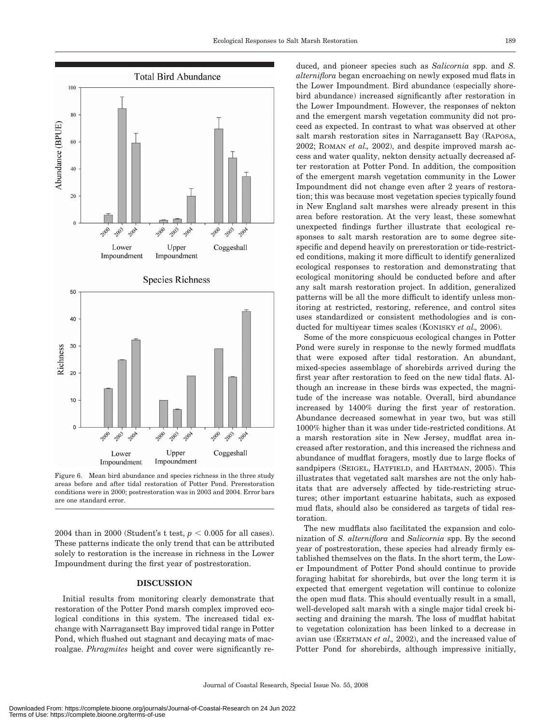

Figure 6. Mean bird abundance and species richness in the three study areas before and after tidal restoration of Potter Pond. Prerestoration conditions were in 2000; postrestoration was in 2003 and 2004. Error bars are one standard error.

2004 than in 2000 (Student's t test,  $p < 0.005$  for all cases). These patterns indicate the only trend that can be attributed solely to restoration is the increase in richness in the Lower Impoundment during the first year of postrestoration.

#### **DISCUSSION**

Initial results from monitoring clearly demonstrate that restoration of the Potter Pond marsh complex improved ecological conditions in this system. The increased tidal exchange with Narragansett Bay improved tidal range in Potter Pond, which flushed out stagnant and decaying mats of macroalgae. *Phragmites* height and cover were significantly re-

duced, and pioneer species such as *Salicornia* spp. and *S. alterniflora* began encroaching on newly exposed mud flats in the Lower Impoundment. Bird abundance (especially shorebird abundance) increased significantly after restoration in the Lower Impoundment. However, the responses of nekton and the emergent marsh vegetation community did not proceed as expected. In contrast to what was observed at other salt marsh restoration sites in Narragansett Bay (RAPOSA, 2002; ROMAN *et al.,* 2002), and despite improved marsh access and water quality, nekton density actually decreased after restoration at Potter Pond. In addition, the composition of the emergent marsh vegetation community in the Lower Impoundment did not change even after 2 years of restoration; this was because most vegetation species typically found in New England salt marshes were already present in this area before restoration. At the very least, these somewhat unexpected findings further illustrate that ecological responses to salt marsh restoration are to some degree sitespecific and depend heavily on prerestoration or tide-restricted conditions, making it more difficult to identify generalized ecological responses to restoration and demonstrating that ecological monitoring should be conducted before and after any salt marsh restoration project. In addition, generalized patterns will be all the more difficult to identify unless monitoring at restricted, restoring, reference, and control sites uses standardized or consistent methodologies and is conducted for multiyear times scales (KONISKY *et al.,* 2006).

Some of the more conspicuous ecological changes in Potter Pond were surely in response to the newly formed mudflats that were exposed after tidal restoration. An abundant, mixed-species assemblage of shorebirds arrived during the first year after restoration to feed on the new tidal flats. Although an increase in these birds was expected, the magnitude of the increase was notable. Overall, bird abundance increased by 1400% during the first year of restoration. Abundance decreased somewhat in year two, but was still 1000% higher than it was under tide-restricted conditions. At a marsh restoration site in New Jersey, mudflat area increased after restoration, and this increased the richness and abundance of mudflat foragers, mostly due to large flocks of sandpipers (SEIGEL, HATFIELD, and HARTMAN, 2005). This illustrates that vegetated salt marshes are not the only habitats that are adversely affected by tide-restricting structures; other important estuarine habitats, such as exposed mud flats, should also be considered as targets of tidal restoration.

The new mudflats also facilitated the expansion and colonization of *S. alterniflora* and *Salicornia* spp. By the second year of postrestoration, these species had already firmly established themselves on the flats. In the short term, the Lower Impoundment of Potter Pond should continue to provide foraging habitat for shorebirds, but over the long term it is expected that emergent vegetation will continue to colonize the open mud flats. This should eventually result in a small, well-developed salt marsh with a single major tidal creek bisecting and draining the marsh. The loss of mudflat habitat to vegetation colonization has been linked to a decrease in avian use (EERTMAN *et al.,* 2002), and the increased value of Potter Pond for shorebirds, although impressive initially,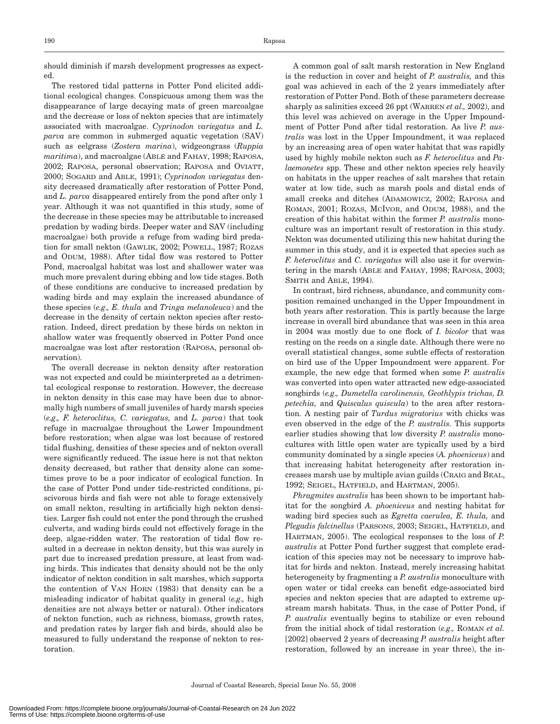should diminish if marsh development progresses as expected.

The restored tidal patterns in Potter Pond elicited additional ecological changes. Conspicuous among them was the disappearance of large decaying mats of green marcoalgae and the decrease or loss of nekton species that are intimately associated with macroalgae. *Cyprinodon variegatus* and *L. parva* are common in submerged aquatic vegetation (SAV) such as eelgrass (*Zostera marina*), widgeongrass (*Ruppia maritima*), and macroalgae (ABLE and FAHAY, 1998; RAPOSA, 2002; RAPOSA, personal observation; RAPOSA and OVIATT, 2000; SOGARD and ABLE, 1991); *Cyprinodon variegatus* density decreased dramatically after restoration of Potter Pond, and *L. parva* disappeared entirely from the pond after only 1 year. Although it was not quantified in this study, some of the decrease in these species may be attributable to increased predation by wading birds. Deeper water and SAV (including macroalgae) both provide a refuge from wading bird predation for small nekton (GAWLIK, 2002; POWELL, 1987; ROZAS and ODUM, 1988). After tidal flow was restored to Potter Pond, macroalgal habitat was lost and shallower water was much more prevalent during ebbing and low tide stages. Both of these conditions are conducive to increased predation by wading birds and may explain the increased abundance of these species (*e.g., E. thula* and *Tringa melanoleuca*) and the decrease in the density of certain nekton species after restoration. Indeed, direct predation by these birds on nekton in shallow water was frequently observed in Potter Pond once macroalgae was lost after restoration (RAPOSA, personal observation).

The overall decrease in nekton density after restoration was not expected and could be misinterpreted as a detrimental ecological response to restoration. However, the decrease in nekton density in this case may have been due to abnormally high numbers of small juveniles of hardy marsh species (*e.g., F. heteroclitus, C. variegatus,* and *L. parva*) that took refuge in macroalgae throughout the Lower Impoundment before restoration; when algae was lost because of restored tidal flushing, densities of these species and of nekton overall were significantly reduced. The issue here is not that nekton density decreased, but rather that density alone can sometimes prove to be a poor indicator of ecological function. In the case of Potter Pond under tide-restricted conditions, piscivorous birds and fish were not able to forage extensively on small nekton, resulting in artificially high nekton densities. Larger fish could not enter the pond through the crushed culverts, and wading birds could not effectively forage in the deep, algae-ridden water. The restoration of tidal flow resulted in a decrease in nekton density, but this was surely in part due to increased predation pressure, at least from wading birds. This indicates that density should not be the only indicator of nekton condition in salt marshes, which supports the contention of VAN HORN (1983) that density can be a misleading indicator of habitat quality in general (*e.g.,* high densities are not always better or natural). Other indicators of nekton function, such as richness, biomass, growth rates, and predation rates by larger fish and birds, should also be measured to fully understand the response of nekton to restoration.

A common goal of salt marsh restoration in New England is the reduction in cover and height of *P. australis,* and this goal was achieved in each of the 2 years immediately after restoration of Potter Pond. Both of these parameters decrease sharply as salinities exceed 26 ppt (WARREN *et al.,* 2002), and this level was achieved on average in the Upper Impoundment of Potter Pond after tidal restoration. As live *P. australis* was lost in the Upper Impoundment, it was replaced by an increasing area of open water habitat that was rapidly used by highly mobile nekton such as *F. heteroclitus* and *Palaemonetes* spp. These and other nekton species rely heavily on habitats in the upper reaches of salt marshes that retain water at low tide, such as marsh pools and distal ends of small creeks and ditches (ADAMOWICZ, 2002; RAPOSA and ROMAN, 2001; ROZAS, MCIVOR, and ODUM, 1988), and the creation of this habitat within the former *P. australis* monoculture was an important result of restoration in this study. Nekton was documented utilizing this new habitat during the summer in this study, and it is expected that species such as *F. heteroclitus* and *C. variegatus* will also use it for overwintering in the marsh (ABLE and FAHAY, 1998; RAPOSA, 2003; SMITH and ABLE, 1994).

In contrast, bird richness, abundance, and community composition remained unchanged in the Upper Impoundment in both years after restoration. This is partly because the large increase in overall bird abundance that was seen in this area in 2004 was mostly due to one flock of *I. bicolor* that was resting on the reeds on a single date. Although there were no overall statistical changes, some subtle effects of restoration on bird use of the Upper Impoundment were apparent. For example, the new edge that formed when some *P. australis* was converted into open water attracted new edge-associated songbirds (*e.g., Dumetella carolinensis, Geothlypis trichas, D. petechia,* and *Quiscalus quiscula*) to the area after restoration. A nesting pair of *Turdus migratorius* with chicks was even observed in the edge of the *P. australis.* This supports earlier studies showing that low diversity *P. australis* monocultures with little open water are typically used by a bird community dominated by a single species (*A. phoeniceus*) and that increasing habitat heterogeneity after restoration increases marsh use by multiple avian guilds (CRAIG and BEAL, 1992; SEIGEL, HATFIELD, and HARTMAN, 2005).

*Phragmites australis* has been shown to be important habitat for the songbird *A. phoeniceus* and nesting habitat for wading bird species such as *Egretta caerulea, E. thula,* and *Plegadis falcinellus* (PARSONS, 2003; SEIGEL, HATFIELD, and HARTMAN, 2005). The ecological responses to the loss of *P. australis* at Potter Pond further suggest that complete eradication of this species may not be necessary to improve habitat for birds and nekton. Instead, merely increasing habitat heterogeneity by fragmenting a *P. australis* monoculture with open water or tidal creeks can benefit edge-associated bird species and nekton species that are adapted to extreme upstream marsh habitats. Thus, in the case of Potter Pond, if *P. australis* eventually begins to stabilize or even rebound from the initial shock of tidal restoration (*e.g.,* ROMAN *et al.* [2002] observed 2 years of decreasing *P. australis* height after restoration, followed by an increase in year three), the in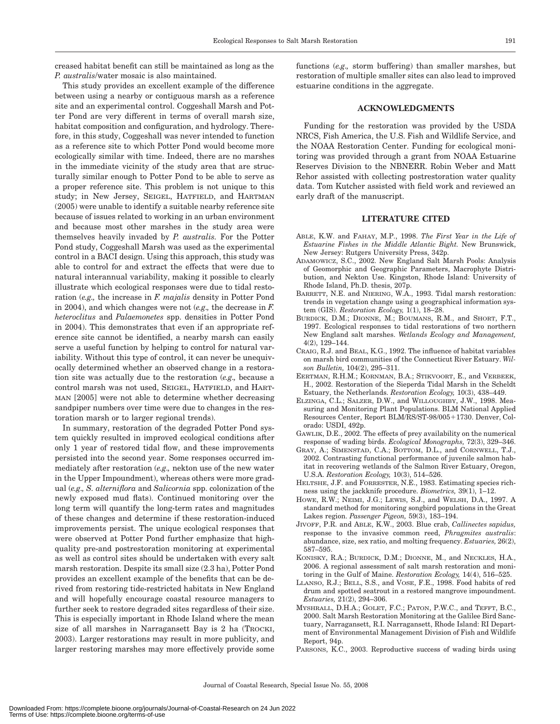creased habitat benefit can still be maintained as long as the *P. australis*/water mosaic is also maintained.

This study provides an excellent example of the difference between using a nearby or contiguous marsh as a reference site and an experimental control. Coggeshall Marsh and Potter Pond are very different in terms of overall marsh size, habitat composition and configuration, and hydrology. Therefore, in this study, Coggeshall was never intended to function as a reference site to which Potter Pond would become more ecologically similar with time. Indeed, there are no marshes in the immediate vicinity of the study area that are structurally similar enough to Potter Pond to be able to serve as a proper reference site. This problem is not unique to this study; in New Jersey, SEIGEL, HATFIELD, and HARTMAN (2005) were unable to identify a suitable nearby reference site because of issues related to working in an urban environment and because most other marshes in the study area were themselves heavily invaded by *P. australis.* For the Potter Pond study, Coggeshall Marsh was used as the experimental control in a BACI design. Using this approach, this study was able to control for and extract the effects that were due to natural interannual variability, making it possible to clearly illustrate which ecological responses were due to tidal restoration (*e.g.,* the increase in *F. majalis* density in Potter Pond in 2004), and which changes were not (*e.g.,* the decrease in *F. heteroclitus* and *Palaemonetes* spp. densities in Potter Pond in 2004). This demonstrates that even if an appropriate reference site cannot be identified, a nearby marsh can easily serve a useful function by helping to control for natural variability. Without this type of control, it can never be unequivocally determined whether an observed change in a restoration site was actually due to the restoration (*e.g.,* because a control marsh was not used, SEIGEL, HATFIELD, and HART-MAN [2005] were not able to determine whether decreasing sandpiper numbers over time were due to changes in the restoration marsh or to larger regional trends).

In summary, restoration of the degraded Potter Pond system quickly resulted in improved ecological conditions after only 1 year of restored tidal flow, and these improvements persisted into the second year. Some responses occurred immediately after restoration (*e.g.,* nekton use of the new water in the Upper Impoundment), whereas others were more gradual (*e.g., S. alterniflora* and *Salicornia* spp. colonization of the newly exposed mud flats). Continued monitoring over the long term will quantify the long-term rates and magnitudes of these changes and determine if these restoration-induced improvements persist. The unique ecological responses that were observed at Potter Pond further emphasize that highquality pre-and postrestoration monitoring at experimental as well as control sites should be undertaken with every salt marsh restoration. Despite its small size (2.3 ha), Potter Pond provides an excellent example of the benefits that can be derived from restoring tide-restricted habitats in New England and will hopefully encourage coastal resource managers to further seek to restore degraded sites regardless of their size. This is especially important in Rhode Island where the mean size of all marshes in Narragansett Bay is 2 ha (TROCKI, 2003). Larger restorations may result in more publicity, and larger restoring marshes may more effectively provide some functions (*e.g.,* storm buffering) than smaller marshes, but restoration of multiple smaller sites can also lead to improved estuarine conditions in the aggregate.

#### **ACKNOWLEDGMENTS**

Funding for the restoration was provided by the USDA NRCS, Fish America, the U.S. Fish and Wildlife Service, and the NOAA Restoration Center. Funding for ecological monitoring was provided through a grant from NOAA Estuarine Reserves Division to the NBNERR. Robin Weber and Matt Rehor assisted with collecting postrestoration water quality data. Tom Kutcher assisted with field work and reviewed an early draft of the manuscript.

#### **LITERATURE CITED**

- ABLE, K.W. and FAHAY, M.P., 1998. *The First Year in the Life of Estuarine Fishes in the Middle Atlantic Bight.* New Brunswick, New Jersey: Rutgers University Press, 342p.
- ADAMOWICZ, S.C., 2002. New England Salt Marsh Pools: Analysis of Geomorphic and Geographic Parameters, Macrophyte Distribution, and Nekton Use. Kingston, Rhode Island: University of Rhode Island, Ph.D. thesis, 207p.
- BARRETT, N.E. and NIERING, W.A., 1993. Tidal marsh restoration: trends in vegetation change using a geographical information system (GIS). *Restoration Ecology,* 1(1), 18–28.
- BURDICK, D.M.; DIONNE, M.; BOUMANS, R.M., and SHORT, F.T., 1997. Ecological responses to tidal restorations of two northern New England salt marshes. *Wetlands Ecology and Management,* 4(2), 129–144.
- CRAIG, R.J. and BEAL, K.G., 1992. The influence of habitat variables on marsh bird communities of the Connecticut River Estuary. *Wilson Bulletin,* 104(2), 295–311.
- EERTMAN, R.H.M.; KORNMAN, B.A.; STIKVOORT, E., and VERBEEK, H., 2002. Restoration of the Sieperda Tidal Marsh in the Scheldt Estuary, the Netherlands. *Restoration Ecology,* 10(3), 438–449.
- ELZINGA, C.L.; SALZER, D.W., and WILLOUGHBY, J.W., 1998. Measuring and Monitoring Plant Populations. BLM National Applied Resources Center, Report BLM/RS/ST-98/005+1730. Denver, Colorado: USDI, 492p.
- GAWLIK, D.E., 2002. The effects of prey availability on the numerical response of wading birds. *Ecological Monographs,* 72(3), 329–346.
- GRAY, A.; SIMENSTAD, C.A.; BOTTOM, D.L., and CORNWELL, T.J., 2002. Contrasting functional performance of juvenile salmon habitat in recovering wetlands of the Salmon River Estuary, Oregon, U.S.A. *Restoration Ecology,* 10(3), 514–526.
- HELTSHE, J.F. and FORRESTER, N.E., 1983. Estimating species richness using the jackknife procedure. *Biometrics,* 39(1), 1–12.
- HOWE, R.W.; NEIMI, J.G.; LEWIS, S.J., and WELSH, D.A., 1997. A standard method for monitoring songbird populations in the Great Lakes region. *Passenger Pigeon,* 59(3), 183–194.
- JIVOFF, P.R. and ABLE, K.W., 2003. Blue crab, *Callinectes sapidus,* response to the invasive common reed, *Phragmites australis*: abundance, size, sex ratio, and molting frequency. *Estuaries,* 26(2), 587–595.
- KONISKY, R.A.; BURDICK, D.M.; DIONNE, M., and NECKLES, H.A., 2006. A regional assessment of salt marsh restoration and monitoring in the Gulf of Maine. *Restoration Ecology,* 14(4), 516–525.
- LLANSO, R.J.; BELL, S.S., and VOSE, F.E., 1998. Food habits of red drum and spotted seatrout in a restored mangrove impoundment. *Estuaries,* 21(2), 294–306.
- MYSHRALL, D.H.A.; GOLET, F.C.; PATON, P.W.C., and TEFFT, B.C., 2000. Salt Marsh Restoration Monitoring at the Galilee Bird Sanctuary, Narragansett, R.I. Narragansett, Rhode Island: RI Department of Environmental Management Division of Fish and Wildlife Report, 94p.
- PARSONS, K.C., 2003. Reproductive success of wading birds using